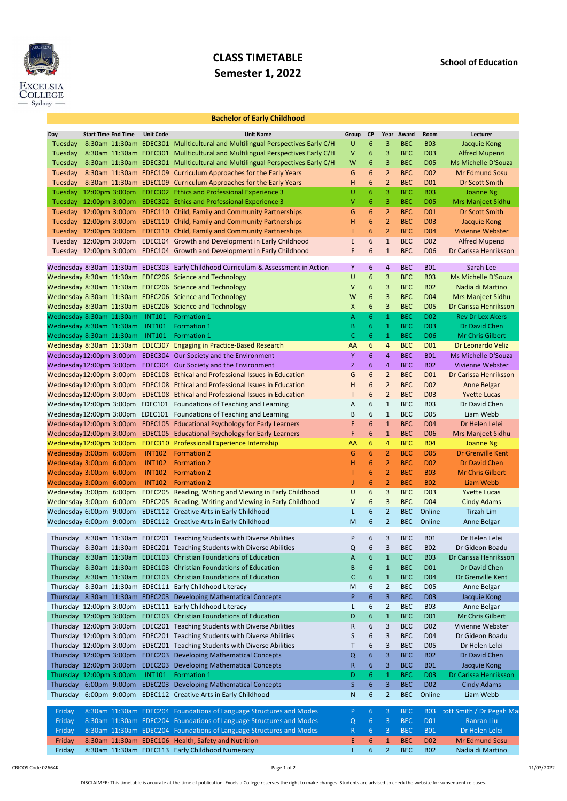

## CLASS TIMETABLE Semester 1, 2022

## Bachelor of Early Childhood

| Day      | <b>Start Time End Time</b>      | <b>Unit Code</b> | <b>Unit Name</b>                                                                   | Group | <b>CP</b>        |                | Year Award | Room             | Lecturer                   |
|----------|---------------------------------|------------------|------------------------------------------------------------------------------------|-------|------------------|----------------|------------|------------------|----------------------------|
| Tuesday  |                                 |                  | 8:30am 11:30am EDEC301 Mullticultural and Multilingual Perspectives Early C/H      | U     | 6                | 3              | <b>BEC</b> | <b>B03</b>       | Jacquie Kong               |
| Tuesday  |                                 |                  | 8:30am 11:30am EDEC301 Mullticultural and Multilingual Perspectives Early C/H      | V     | 6                | 3              | <b>BEC</b> | <b>D03</b>       | <b>Alfred Mupenzi</b>      |
| Tuesday  |                                 |                  | 8:30am 11:30am EDEC301 Mullticultural and Multilingual Perspectives Early C/H      | W     | 6                | 3              | <b>BEC</b> | <b>D05</b>       | Ms Michelle D'Souza        |
| Tuesday  |                                 |                  | 8:30am 11:30am EDEC109 Curriculum Approaches for the Early Years                   | G     | 6                | $\overline{2}$ | <b>BEC</b> | <b>D02</b>       | Mr Edmund Sosu             |
| Tuesday  |                                 |                  | 8:30am 11:30am EDEC109 Curriculum Approaches for the Early Years                   | н     | 6                | $\overline{2}$ | <b>BEC</b> | <b>D01</b>       | Dr Scott Smith             |
|          |                                 |                  | Tuesday 12:00pm 3:00pm EDEC302 Ethics and Professional Experience 3                | U     | 6                | 3              | <b>BEC</b> | <b>B03</b>       | Joanne Ng                  |
|          | Tuesday 12:00pm 3:00pm          |                  | EDEC302 Ethics and Professional Experience 3                                       | V     | 6                | 3              | <b>BEC</b> | <b>D05</b>       | Mrs Manjeet Sidhu          |
|          | Tuesday 12:00pm 3:00pm          |                  | EDEC110 Child, Family and Community Partnerships                                   | G     | 6                | $\overline{2}$ | <b>BEC</b> | <b>D01</b>       | Dr Scott Smith             |
|          | Tuesday 12:00pm 3:00pm          |                  | EDEC110 Child, Family and Community Partnerships                                   | Н     | 6                | $\overline{2}$ | <b>BEC</b> | <b>D03</b>       | Jacquie Kong               |
|          |                                 |                  |                                                                                    |       | 6                | $\overline{2}$ | <b>BEC</b> | <b>D04</b>       | <b>Vivienne Webster</b>    |
|          | Tuesday 12:00pm 3:00pm          |                  | EDEC110 Child, Family and Community Partnerships                                   |       |                  |                |            |                  |                            |
|          |                                 |                  | Tuesday 12:00pm 3:00pm EDEC104 Growth and Development in Early Childhood           | E     | 6                | $\mathbf{1}$   | <b>BEC</b> | <b>D02</b>       | <b>Alfred Mupenzi</b>      |
|          |                                 |                  | Tuesday 12:00pm 3:00pm EDEC104 Growth and Development in Early Childhood           | F     | 6                | $\mathbf{1}$   | <b>BEC</b> | D <sub>06</sub>  | Dr Carissa Henriksson      |
|          |                                 |                  | Wednesday 8:30am 11:30am EDEC303 Early Childhood Curriculum & Assessment in Action | Υ     | 6                | 4              | <b>BEC</b> | <b>B01</b>       | Sarah Lee                  |
|          |                                 |                  |                                                                                    |       |                  |                | <b>BEC</b> | <b>B03</b>       | <b>Ms Michelle D'Souza</b> |
|          |                                 |                  | Wednesday 8:30am 11:30am EDEC206 Science and Technology                            | U     | 6                | 3              |            |                  |                            |
|          |                                 |                  | Wednesday 8:30am 11:30am EDEC206 Science and Technology                            | v     | 6                | 3              | <b>BEC</b> | <b>B02</b>       | Nadia di Martino           |
|          |                                 |                  | Wednesday 8:30am 11:30am EDEC206 Science and Technology                            | W     | 6                | 3              | <b>BEC</b> | D <sub>04</sub>  | <b>Mrs Manjeet Sidhu</b>   |
|          |                                 |                  | Wednesday 8:30am 11:30am EDEC206 Science and Technology                            | Χ     | 6                | 3              | <b>BEC</b> | <b>D05</b>       | Dr Carissa Henriksson      |
|          | Wednesday 8:30am 11:30am        | <b>INT101</b>    | <b>Formation 1</b>                                                                 | Α     | 6                | 1              | <b>BEC</b> | <b>D02</b>       | <b>Rev Dr Lex Akers</b>    |
|          | Wednesday 8:30am 11:30am        | <b>INT101</b>    | <b>Formation 1</b>                                                                 | B     | 6                | 1              | <b>BEC</b> | <b>D03</b>       | Dr David Chen              |
|          | Wednesday 8:30am 11:30am INT101 |                  | <b>Formation 1</b>                                                                 | C     | 6 <sup>1</sup>   | $\mathbf{1}$   | <b>BEC</b> | <b>D06</b>       | Mr Chris Gilbert           |
|          |                                 |                  | Wednesday 8:30am 11:30am EDEC307 Engaging in Practice-Based Research               | AA    | 6                | 4              | <b>BEC</b> | <b>D01</b>       | Dr Leonardo Veliz          |
|          | Wednesday 12:00pm 3:00pm        |                  | EDEC304 Our Society and the Environment                                            | Y     | 6                | 4              | <b>BEC</b> | <b>B01</b>       | Ms Michelle D'Souza        |
|          | Wednesday 12:00pm 3:00pm        |                  | EDEC304 Our Society and the Environment                                            | Z     | 6                | 4              | <b>BEC</b> | <b>B02</b>       | Vivienne Webster           |
|          | Wednesday 12:00pm 3:00pm        |                  | <b>EDEC108</b> Ethical and Professional Issues in Education                        | G     | 6                | $\overline{2}$ | <b>BEC</b> | <b>D01</b>       | Dr Carissa Henriksson      |
|          | Wednesday 12:00pm 3:00pm        |                  | <b>EDEC108</b> Ethical and Professional Issues in Education                        | н     | 6                | $\overline{2}$ | <b>BEC</b> | <b>D02</b>       | <b>Anne Belgar</b>         |
|          | Wednesday 12:00pm 3:00pm        |                  | <b>EDEC108</b> Ethical and Professional Issues in Education                        |       | 6                | $\overline{2}$ | <b>BEC</b> | <b>D03</b>       | <b>Yvette Lucas</b>        |
|          | Wednesday 12:00pm 3:00pm        |                  | EDEC101 Foundations of Teaching and Learning                                       | A     | 6                | $\mathbf{1}$   | <b>BEC</b> | <b>B03</b>       | Dr David Chen              |
|          |                                 |                  | Wednesday 12:00pm 3:00pm EDEC101 Foundations of Teaching and Learning              | B     | 6                | $\mathbf{1}$   | <b>BEC</b> | <b>D05</b>       | Liam Webb                  |
|          |                                 |                  |                                                                                    |       |                  |                |            |                  |                            |
|          |                                 |                  | Wednesday 12:00pm 3:00pm EDEC105 Educational Psychology for Early Learners         | E.    | 6                | $\mathbf{1}$   | <b>BEC</b> | <b>D04</b>       | Dr Helen Lelei             |
|          |                                 |                  | Wednesday 12:00pm 3:00pm EDEC105 Educational Psychology for Early Learners         |       | 6                | $\mathbf{1}$   | <b>BEC</b> | D <sub>06</sub>  | Mrs Manjeet Sidhu          |
|          |                                 |                  | Wednesday 12:00pm 3:00pm EDEC310 Professional Experience Internship                | AA    | 6                | 4              | <b>BEC</b> | <b>B04</b>       | Joanne Ng                  |
|          | Wednesday 3:00pm 6:00pm         | <b>INT102</b>    | <b>Formation 2</b>                                                                 | G     | 6                | $\overline{2}$ | <b>BEC</b> | <b>D05</b>       | Dr Grenville Kent          |
|          | Wednesday 3:00pm 6:00pm         | <b>INT102</b>    | <b>Formation 2</b>                                                                 | н     | 6                | 2              | <b>BEC</b> | <b>D02</b>       | Dr David Chen              |
|          | Wednesday 3:00pm 6:00pm         | <b>INT102</b>    | <b>Formation 2</b>                                                                 |       | 6                | $\overline{2}$ | <b>BEC</b> | <b>B03</b>       | <b>Mr Chris Gilbert</b>    |
|          | Wednesday 3:00pm 6:00pm         | <b>INT102</b>    | <b>Formation 2</b>                                                                 |       | 6                | $\overline{2}$ | <b>BEC</b> | <b>B02</b>       | Liam Webb                  |
|          | Wednesday 3:00pm 6:00pm         |                  | <b>EDEC205</b> Reading, Writing and Viewing in Early Childhood                     | U     | 6                | 3              | <b>BEC</b> | D <sub>0</sub> 3 | <b>Yvette Lucas</b>        |
|          |                                 |                  | Wednesday 3:00pm 6:00pm EDEC205 Reading, Writing and Viewing in Early Childhood    | V     | 6                | 3              | <b>BEC</b> | D <sub>04</sub>  | <b>Cindy Adams</b>         |
|          |                                 |                  | Wednesday 6:00pm 9:00pm EDEC112 Creative Arts in Early Childhood                   |       | 6                | 2              | <b>BEC</b> | Online           | Tirzah Lim                 |
|          |                                 |                  | Wednesday 6:00pm 9:00pm EDEC112 Creative Arts in Early Childhood                   | M     | 6                | $\overline{2}$ | <b>BEC</b> | Online           | Anne Belgar                |
|          |                                 |                  |                                                                                    |       |                  |                |            |                  |                            |
| Thursday |                                 |                  | 8:30am 11:30am EDEC201 Teaching Students with Diverse Abilities                    | P     | 6                | 3              | <b>BEC</b> | <b>B01</b>       | Dr Helen Lelei             |
|          |                                 |                  | Thursday 8:30am 11:30am EDEC201 Teaching Students with Diverse Abilities           | Q     | 6                | 3              | <b>BEC</b> | <b>B02</b>       | Dr Gideon Boadu            |
|          |                                 |                  | Thursday 8:30am 11:30am EDEC103 Christian Foundations of Education                 | A     | 6                | $\mathbf{1}$   | <b>BEC</b> | <b>B03</b>       | Dr Carissa Henriksson      |
|          |                                 |                  | Thursday 8:30am 11:30am EDEC103 Christian Foundations of Education                 | В     | 6                | $\mathbf{1}$   | <b>BEC</b> | D <sub>01</sub>  | Dr David Chen              |
|          |                                 |                  | Thursday 8:30am 11:30am EDEC103 Christian Foundations of Education                 | С     | 6                | $\mathbf{1}$   | <b>BEC</b> | <b>D04</b>       | Dr Grenville Kent          |
|          |                                 |                  | Thursday 8:30am 11:30am EDEC111 Early Childhood Literacy                           | M     | 6                | $\overline{2}$ | <b>BEC</b> | <b>D05</b>       | Anne Belgar                |
|          |                                 |                  | Thursday 8:30am 11:30am EDEC203 Developing Mathematical Concepts                   | P     | $6\phantom{.}$   | 3              | <b>BEC</b> | <b>D03</b>       | Jacquie Kong               |
|          |                                 |                  | Thursday 12:00pm 3:00pm EDEC111 Early Childhood Literacy                           |       | 6                | $\overline{2}$ | <b>BEC</b> | <b>B03</b>       | Anne Belgar                |
|          |                                 |                  |                                                                                    |       |                  |                |            |                  |                            |
|          |                                 |                  | Thursday 12:00pm 3:00pm EDEC103 Christian Foundations of Education                 | D     | 6                | $\mathbf{1}$   | <b>BEC</b> | D <sub>01</sub>  | Mr Chris Gilbert           |
|          |                                 |                  | Thursday 12:00pm 3:00pm EDEC201 Teaching Students with Diverse Abilities           | R     | 6                | 3              | <b>BEC</b> | D <sub>02</sub>  | Vivienne Webster           |
|          |                                 |                  | Thursday 12:00pm 3:00pm EDEC201 Teaching Students with Diverse Abilities           | S     | 6                | 3              | <b>BEC</b> | D <sub>04</sub>  | Dr Gideon Boadu            |
|          |                                 |                  | Thursday 12:00pm 3:00pm EDEC201 Teaching Students with Diverse Abilities           |       | 6                | 3              | <b>BEC</b> | <b>D05</b>       | Dr Helen Lelei             |
|          | Thursday 12:00pm 3:00pm         |                  | <b>EDEC203</b> Developing Mathematical Concepts                                    | Q     | 6                | 3              | <b>BEC</b> | <b>B02</b>       | Dr David Chen              |
|          |                                 |                  | Thursday 12:00pm 3:00pm EDEC203 Developing Mathematical Concepts                   | R     | 6                | 3              | <b>BEC</b> | <b>B01</b>       | Jacquie Kong               |
|          | Thursday 12:00pm 3:00pm         | <b>INT101</b>    | Formation 1                                                                        | D     | 6.               | $\mathbf{1}$   | <b>BEC</b> | D <sub>03</sub>  | Dr Carissa Henriksson      |
|          |                                 |                  | Thursday 6:00pm 9:00pm EDEC203 Developing Mathematical Concepts                    | S.    | 6                | 3              | <b>BEC</b> | <b>D02</b>       | <b>Cindy Adams</b>         |
|          |                                 |                  | Thursday 6:00pm 9:00pm EDEC112 Creative Arts in Early Childhood                    | N     | 6                | $\overline{2}$ | <b>BEC</b> | Online           | Liam Webb                  |
|          |                                 |                  |                                                                                    |       |                  |                |            |                  |                            |
| Friday   |                                 |                  | 8:30am 11:30am EDEC204 Foundations of Language Structures and Modes                | P.    | 6                | 3              | <b>BEC</b> | <b>B03</b>       | cott Smith / Dr Pegah Mar  |
| Friday   |                                 |                  | 8:30am 11:30am EDEC204 Foundations of Language Structures and Modes                | Q     | 6 <sup>1</sup>   | $\overline{3}$ | <b>BEC</b> | <b>D01</b>       | Ranran Liu                 |
| Friday   |                                 |                  | 8:30am 11:30am EDEC204 Foundations of Language Structures and Modes                | R     | 6                | 3              | <b>BEC</b> | <b>B01</b>       | Dr Helen Lelei             |
| Friday   |                                 |                  | 8:30am 11:30am EDEC106 Health, Safety and Nutrition                                | E.    | 6                | $\mathbf{1}$   | <b>BEC</b> | D <sub>02</sub>  | Mr Edmund Sosu             |
| Friday   |                                 |                  | 8:30am 11:30am EDEC113 Early Childhood Numeracy                                    |       | $6 \overline{6}$ | $\overline{a}$ | <b>BEC</b> | <b>B02</b>       | Nadia di Martino           |
|          |                                 |                  |                                                                                    |       |                  |                |            |                  |                            |

CRICOS Code 02664K Page 1 of 2

DISCLAIMER: This timetable is accurate at the time of publication. Excelsia College reserves the right to make changes. Students are advised to check the website for subsequent releases.